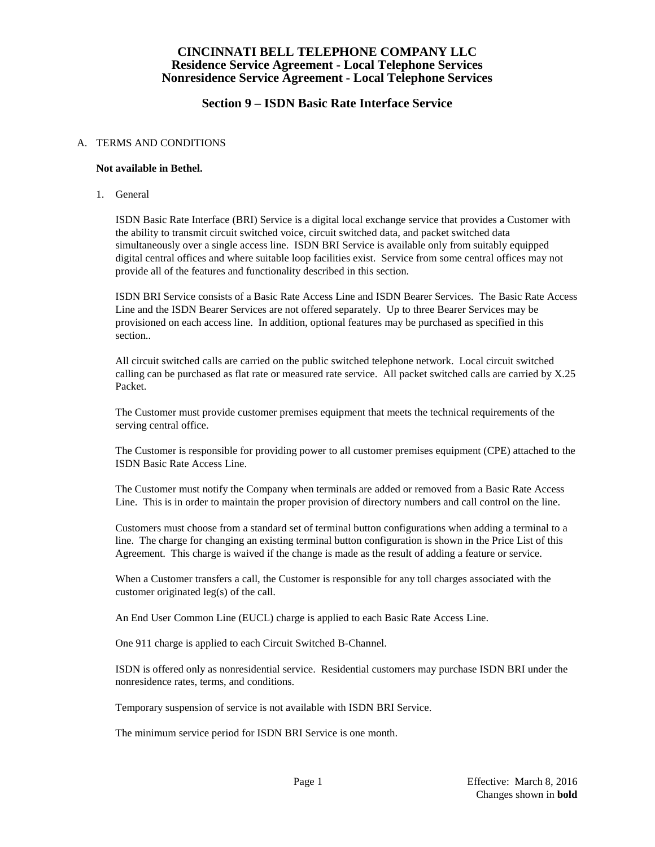### **Section 9 – ISDN Basic Rate Interface Service**

#### A. TERMS AND CONDITIONS

#### **Not available in Bethel.**

1. General

ISDN Basic Rate Interface (BRI) Service is a digital local exchange service that provides a Customer with the ability to transmit circuit switched voice, circuit switched data, and packet switched data simultaneously over a single access line. ISDN BRI Service is available only from suitably equipped digital central offices and where suitable loop facilities exist. Service from some central offices may not provide all of the features and functionality described in this section.

ISDN BRI Service consists of a Basic Rate Access Line and ISDN Bearer Services. The Basic Rate Access Line and the ISDN Bearer Services are not offered separately. Up to three Bearer Services may be provisioned on each access line. In addition, optional features may be purchased as specified in this section..

All circuit switched calls are carried on the public switched telephone network. Local circuit switched calling can be purchased as flat rate or measured rate service. All packet switched calls are carried by X.25 Packet.

The Customer must provide customer premises equipment that meets the technical requirements of the serving central office.

The Customer is responsible for providing power to all customer premises equipment (CPE) attached to the ISDN Basic Rate Access Line.

The Customer must notify the Company when terminals are added or removed from a Basic Rate Access Line. This is in order to maintain the proper provision of directory numbers and call control on the line.

Customers must choose from a standard set of terminal button configurations when adding a terminal to a line. The charge for changing an existing terminal button configuration is shown in the Price List of this Agreement. This charge is waived if the change is made as the result of adding a feature or service.

When a Customer transfers a call, the Customer is responsible for any toll charges associated with the customer originated leg(s) of the call.

An End User Common Line (EUCL) charge is applied to each Basic Rate Access Line.

One 911 charge is applied to each Circuit Switched B-Channel.

ISDN is offered only as nonresidential service. Residential customers may purchase ISDN BRI under the nonresidence rates, terms, and conditions.

Temporary suspension of service is not available with ISDN BRI Service.

The minimum service period for ISDN BRI Service is one month.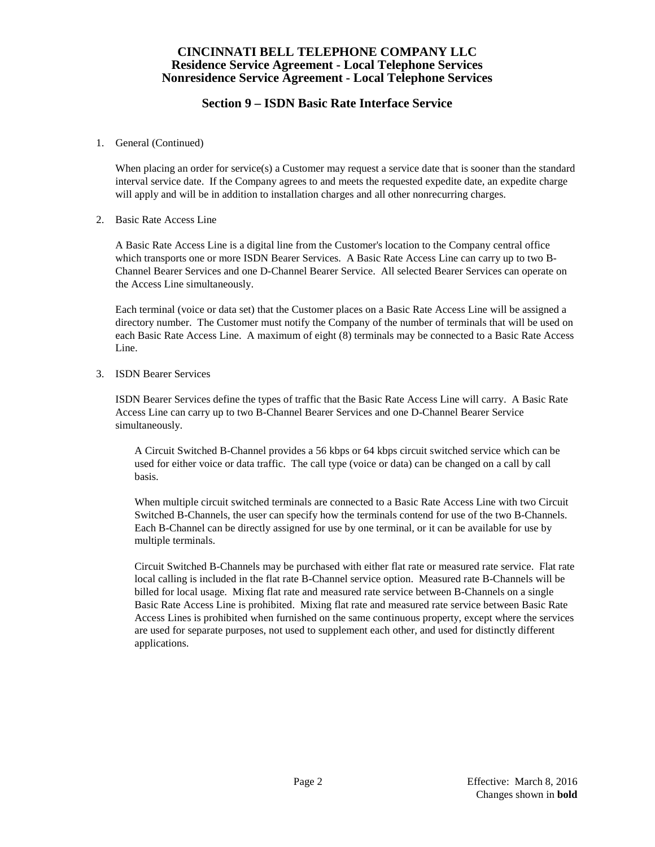### **Section 9 – ISDN Basic Rate Interface Service**

1. General (Continued)

When placing an order for service(s) a Customer may request a service date that is sooner than the standard interval service date. If the Company agrees to and meets the requested expedite date, an expedite charge will apply and will be in addition to installation charges and all other nonrecurring charges.

2. Basic Rate Access Line

A Basic Rate Access Line is a digital line from the Customer's location to the Company central office which transports one or more ISDN Bearer Services. A Basic Rate Access Line can carry up to two B-Channel Bearer Services and one D-Channel Bearer Service. All selected Bearer Services can operate on the Access Line simultaneously.

Each terminal (voice or data set) that the Customer places on a Basic Rate Access Line will be assigned a directory number. The Customer must notify the Company of the number of terminals that will be used on each Basic Rate Access Line. A maximum of eight (8) terminals may be connected to a Basic Rate Access Line.

3. ISDN Bearer Services

ISDN Bearer Services define the types of traffic that the Basic Rate Access Line will carry. A Basic Rate Access Line can carry up to two B-Channel Bearer Services and one D-Channel Bearer Service simultaneously.

A Circuit Switched B-Channel provides a 56 kbps or 64 kbps circuit switched service which can be used for either voice or data traffic. The call type (voice or data) can be changed on a call by call basis.

When multiple circuit switched terminals are connected to a Basic Rate Access Line with two Circuit Switched B-Channels, the user can specify how the terminals contend for use of the two B-Channels. Each B-Channel can be directly assigned for use by one terminal, or it can be available for use by multiple terminals.

Circuit Switched B-Channels may be purchased with either flat rate or measured rate service. Flat rate local calling is included in the flat rate B-Channel service option. Measured rate B-Channels will be billed for local usage. Mixing flat rate and measured rate service between B-Channels on a single Basic Rate Access Line is prohibited. Mixing flat rate and measured rate service between Basic Rate Access Lines is prohibited when furnished on the same continuous property, except where the services are used for separate purposes, not used to supplement each other, and used for distinctly different applications.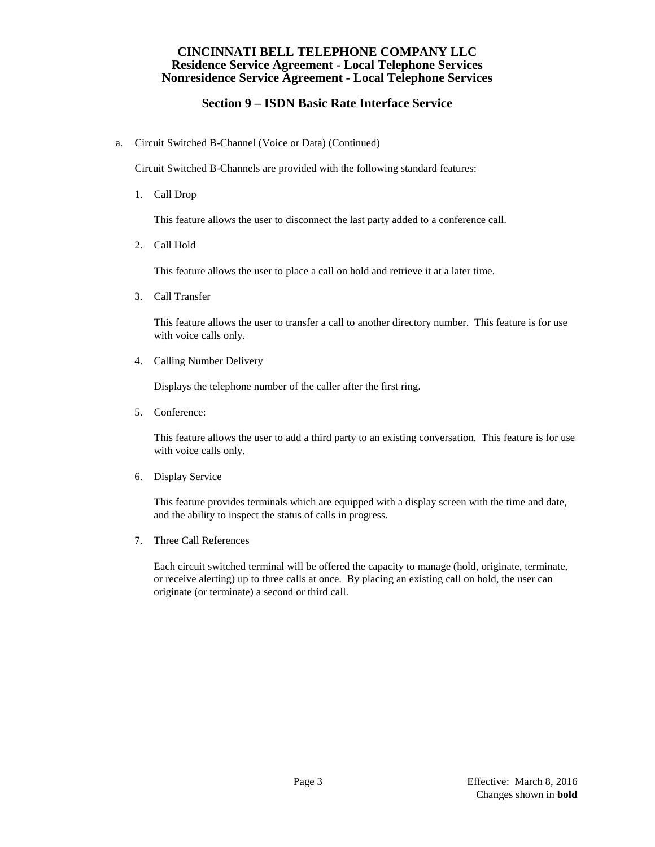# **Section 9 – ISDN Basic Rate Interface Service**

a. Circuit Switched B-Channel (Voice or Data) (Continued)

Circuit Switched B-Channels are provided with the following standard features:

1. Call Drop

This feature allows the user to disconnect the last party added to a conference call.

2. Call Hold

This feature allows the user to place a call on hold and retrieve it at a later time.

3. Call Transfer

This feature allows the user to transfer a call to another directory number. This feature is for use with voice calls only.

4. Calling Number Delivery

Displays the telephone number of the caller after the first ring.

5. Conference:

This feature allows the user to add a third party to an existing conversation. This feature is for use with voice calls only.

6. Display Service

This feature provides terminals which are equipped with a display screen with the time and date, and the ability to inspect the status of calls in progress.

7. Three Call References

Each circuit switched terminal will be offered the capacity to manage (hold, originate, terminate, or receive alerting) up to three calls at once. By placing an existing call on hold, the user can originate (or terminate) a second or third call.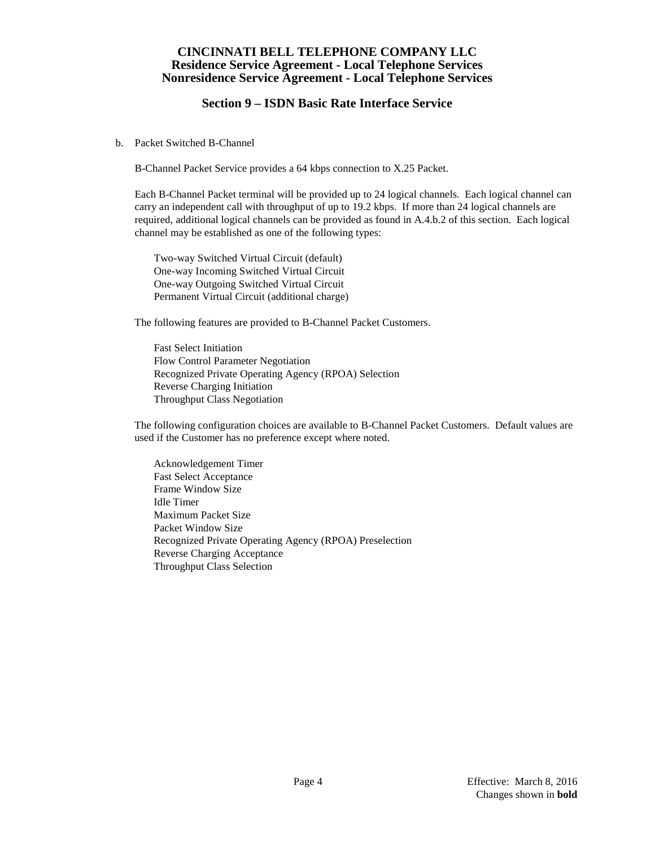### **Section 9 – ISDN Basic Rate Interface Service**

b. Packet Switched B-Channel

B-Channel Packet Service provides a 64 kbps connection to X.25 Packet.

Each B-Channel Packet terminal will be provided up to 24 logical channels. Each logical channel can carry an independent call with throughput of up to 19.2 kbps. If more than 24 logical channels are required, additional logical channels can be provided as found in A.4.b.2 of this section. Each logical channel may be established as one of the following types:

Two-way Switched Virtual Circuit (default) One-way Incoming Switched Virtual Circuit One-way Outgoing Switched Virtual Circuit Permanent Virtual Circuit (additional charge)

The following features are provided to B-Channel Packet Customers.

Fast Select Initiation Flow Control Parameter Negotiation Recognized Private Operating Agency (RPOA) Selection Reverse Charging Initiation Throughput Class Negotiation

The following configuration choices are available to B-Channel Packet Customers. Default values are used if the Customer has no preference except where noted.

Acknowledgement Timer Fast Select Acceptance Frame Window Size Idle Timer Maximum Packet Size Packet Window Size Recognized Private Operating Agency (RPOA) Preselection Reverse Charging Acceptance Throughput Class Selection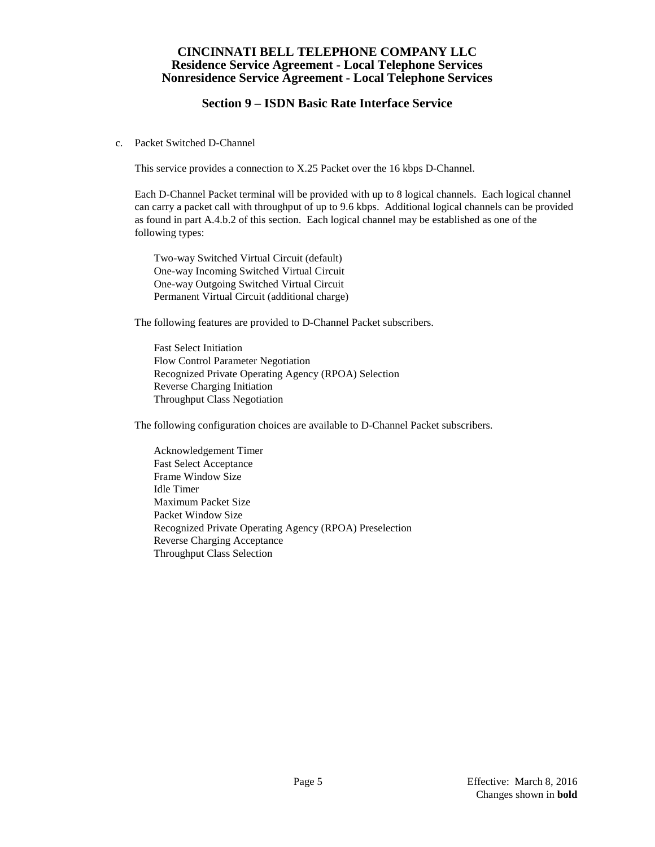# **Section 9 – ISDN Basic Rate Interface Service**

c. Packet Switched D-Channel

This service provides a connection to X.25 Packet over the 16 kbps D-Channel.

Each D-Channel Packet terminal will be provided with up to 8 logical channels. Each logical channel can carry a packet call with throughput of up to 9.6 kbps. Additional logical channels can be provided as found in part A.4.b.2 of this section. Each logical channel may be established as one of the following types:

Two-way Switched Virtual Circuit (default) One-way Incoming Switched Virtual Circuit One-way Outgoing Switched Virtual Circuit Permanent Virtual Circuit (additional charge)

The following features are provided to D-Channel Packet subscribers.

Fast Select Initiation Flow Control Parameter Negotiation Recognized Private Operating Agency (RPOA) Selection Reverse Charging Initiation Throughput Class Negotiation

The following configuration choices are available to D-Channel Packet subscribers.

Acknowledgement Timer Fast Select Acceptance Frame Window Size Idle Timer Maximum Packet Size Packet Window Size Recognized Private Operating Agency (RPOA) Preselection Reverse Charging Acceptance Throughput Class Selection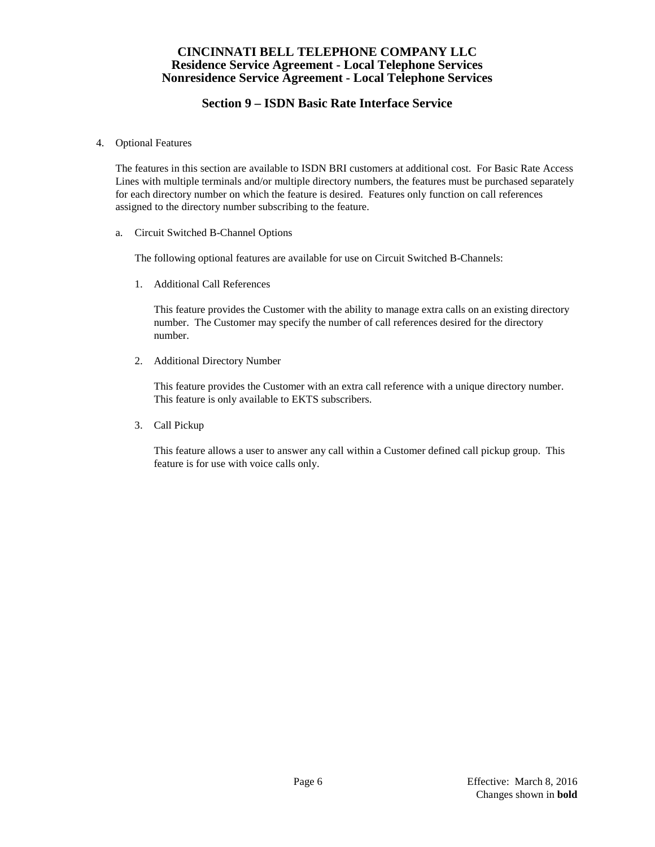# **Section 9 – ISDN Basic Rate Interface Service**

4. Optional Features

The features in this section are available to ISDN BRI customers at additional cost. For Basic Rate Access Lines with multiple terminals and/or multiple directory numbers, the features must be purchased separately for each directory number on which the feature is desired. Features only function on call references assigned to the directory number subscribing to the feature.

a. Circuit Switched B-Channel Options

The following optional features are available for use on Circuit Switched B-Channels:

1. Additional Call References

This feature provides the Customer with the ability to manage extra calls on an existing directory number. The Customer may specify the number of call references desired for the directory number.

2. Additional Directory Number

This feature provides the Customer with an extra call reference with a unique directory number. This feature is only available to EKTS subscribers.

3. Call Pickup

This feature allows a user to answer any call within a Customer defined call pickup group. This feature is for use with voice calls only.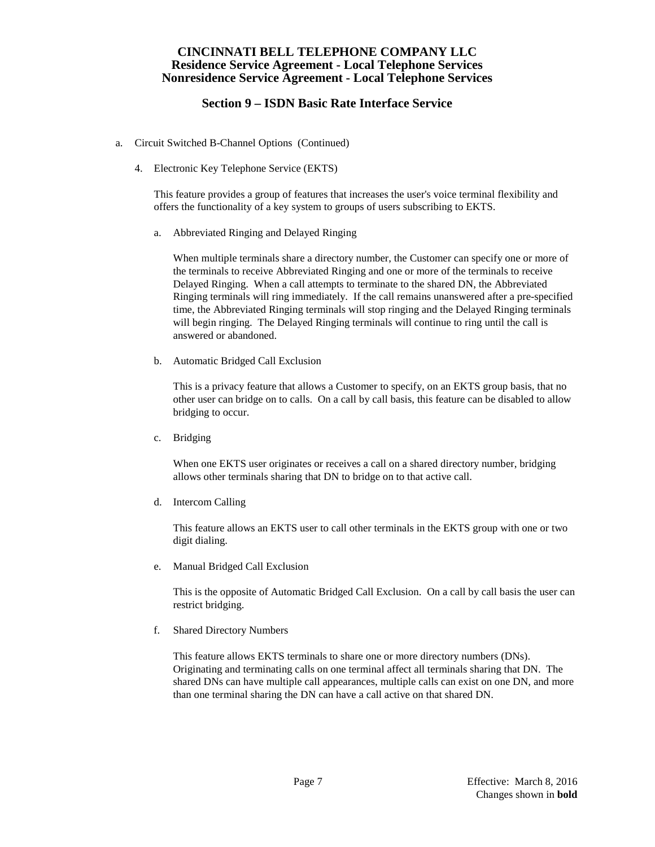# **Section 9 – ISDN Basic Rate Interface Service**

- a. Circuit Switched B-Channel Options (Continued)
	- 4. Electronic Key Telephone Service (EKTS)

This feature provides a group of features that increases the user's voice terminal flexibility and offers the functionality of a key system to groups of users subscribing to EKTS.

a. Abbreviated Ringing and Delayed Ringing

When multiple terminals share a directory number, the Customer can specify one or more of the terminals to receive Abbreviated Ringing and one or more of the terminals to receive Delayed Ringing. When a call attempts to terminate to the shared DN, the Abbreviated Ringing terminals will ring immediately. If the call remains unanswered after a pre-specified time, the Abbreviated Ringing terminals will stop ringing and the Delayed Ringing terminals will begin ringing. The Delayed Ringing terminals will continue to ring until the call is answered or abandoned.

b. Automatic Bridged Call Exclusion

This is a privacy feature that allows a Customer to specify, on an EKTS group basis, that no other user can bridge on to calls. On a call by call basis, this feature can be disabled to allow bridging to occur.

c. Bridging

When one EKTS user originates or receives a call on a shared directory number, bridging allows other terminals sharing that DN to bridge on to that active call.

d. Intercom Calling

This feature allows an EKTS user to call other terminals in the EKTS group with one or two digit dialing.

e. Manual Bridged Call Exclusion

This is the opposite of Automatic Bridged Call Exclusion. On a call by call basis the user can restrict bridging.

f. Shared Directory Numbers

This feature allows EKTS terminals to share one or more directory numbers (DNs). Originating and terminating calls on one terminal affect all terminals sharing that DN. The shared DNs can have multiple call appearances, multiple calls can exist on one DN, and more than one terminal sharing the DN can have a call active on that shared DN.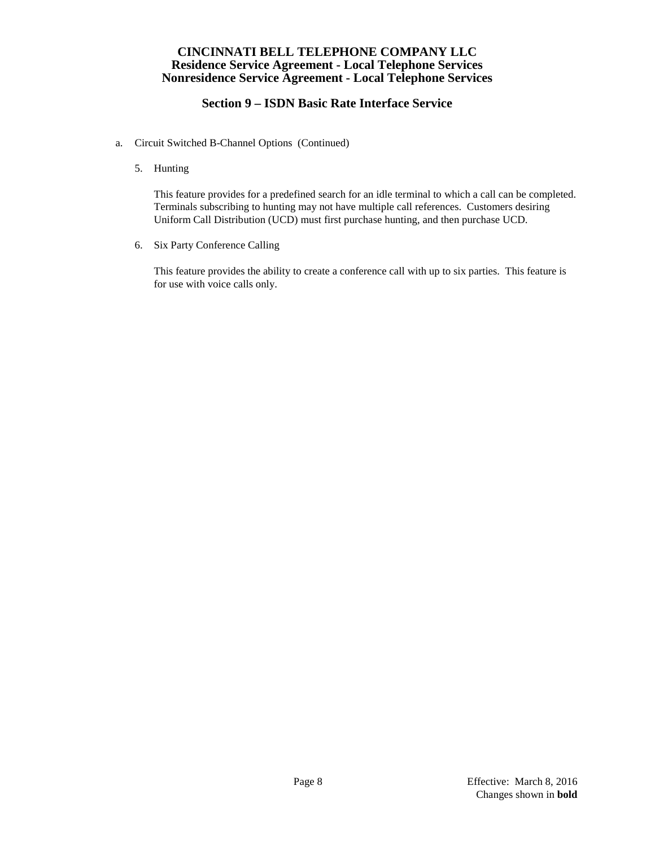# **Section 9 – ISDN Basic Rate Interface Service**

- a. Circuit Switched B-Channel Options (Continued)
	- 5. Hunting

This feature provides for a predefined search for an idle terminal to which a call can be completed. Terminals subscribing to hunting may not have multiple call references. Customers desiring Uniform Call Distribution (UCD) must first purchase hunting, and then purchase UCD.

6. Six Party Conference Calling

This feature provides the ability to create a conference call with up to six parties. This feature is for use with voice calls only.